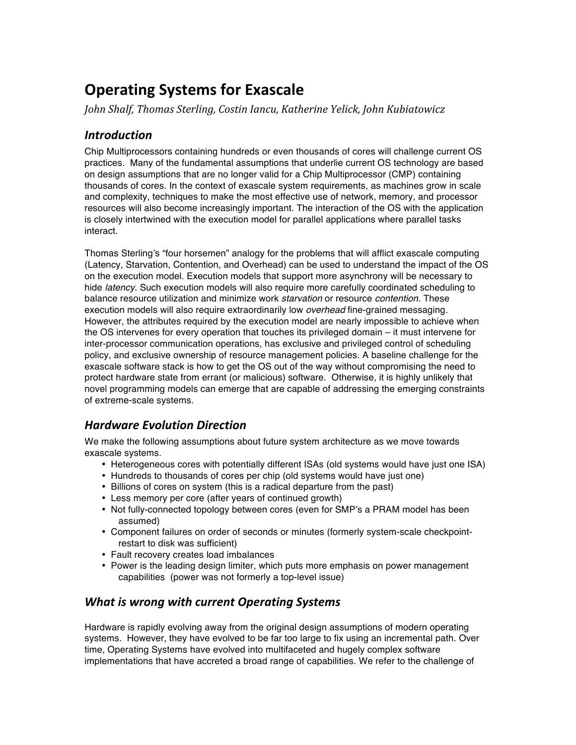# **Operating
Systems
for
Exascale**

*John Shalf, Thomas Sterling, Costin Iancu, Katherine Yelick, John Kubiatowicz*

## *Introduction*

Chip Multiprocessors containing hundreds or even thousands of cores will challenge current OS practices. Many of the fundamental assumptions that underlie current OS technology are based on design assumptions that are no longer valid for a Chip Multiprocessor (CMP) containing thousands of cores. In the context of exascale system requirements, as machines grow in scale and complexity, techniques to make the most effective use of network, memory, and processor resources will also become increasingly important. The interaction of the OS with the application is closely intertwined with the execution model for parallel applications where parallel tasks interact.

Thomas Sterling's "four horsemen" analogy for the problems that will afflict exascale computing (Latency, Starvation, Contention, and Overhead) can be used to understand the impact of the OS on the execution model. Execution models that support more asynchrony will be necessary to hide *latency*. Such execution models will also require more carefully coordinated scheduling to balance resource utilization and minimize work *starvation* or resource *contention*. These execution models will also require extraordinarily low *overhead* fine-grained messaging. However, the attributes required by the execution model are nearly impossible to achieve when the OS intervenes for every operation that touches its privileged domain – it must intervene for inter-processor communication operations, has exclusive and privileged control of scheduling policy, and exclusive ownership of resource management policies. A baseline challenge for the exascale software stack is how to get the OS out of the way without compromising the need to protect hardware state from errant (or malicious) software. Otherwise, it is highly unlikely that novel programming models can emerge that are capable of addressing the emerging constraints of extreme-scale systems.

## *Hardware Evolution Direction*

We make the following assumptions about future system architecture as we move towards exascale systems.

- Heterogeneous cores with potentially different ISAs (old systems would have just one ISA)
- Hundreds to thousands of cores per chip (old systems would have just one)
- Billions of cores on system (this is a radical departure from the past)
- Less memory per core (after years of continued growth)
- Not fully-connected topology between cores (even for SMP's a PRAM model has been assumed)
- Component failures on order of seconds or minutes (formerly system-scale checkpointrestart to disk was sufficient)
- Fault recovery creates load imbalances
- Power is the leading design limiter, which puts more emphasis on power management capabilities (power was not formerly a top-level issue)

## *What is wrong with current Operating Systems*

Hardware is rapidly evolving away from the original design assumptions of modern operating systems. However, they have evolved to be far too large to fix using an incremental path. Over time, Operating Systems have evolved into multifaceted and hugely complex software implementations that have accreted a broad range of capabilities. We refer to the challenge of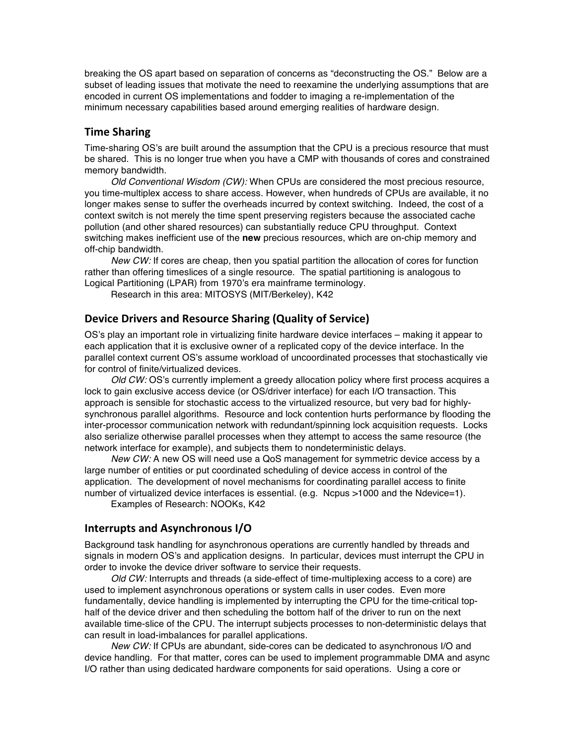breaking the OS apart based on separation of concerns as "deconstructing the OS." Below are a subset of leading issues that motivate the need to reexamine the underlying assumptions that are encoded in current OS implementations and fodder to imaging a re-implementation of the minimum necessary capabilities based around emerging realities of hardware design.

#### **Time
Sharing**

Time-sharing OS's are built around the assumption that the CPU is a precious resource that must be shared. This is no longer true when you have a CMP with thousands of cores and constrained memory bandwidth.

*Old Conventional Wisdom (CW):* When CPUs are considered the most precious resource, you time-multiplex access to share access. However, when hundreds of CPUs are available, it no longer makes sense to suffer the overheads incurred by context switching. Indeed, the cost of a context switch is not merely the time spent preserving registers because the associated cache pollution (and other shared resources) can substantially reduce CPU throughput. Context switching makes inefficient use of the **new** precious resources, which are on-chip memory and off-chip bandwidth.

*New CW:* If cores are cheap, then you spatial partition the allocation of cores for function rather than offering timeslices of a single resource. The spatial partitioning is analogous to Logical Partitioning (LPAR) from 1970's era mainframe terminology.

Research in this area: MITOSYS (MIT/Berkeley), K42

#### Device Drivers and Resource Sharing (Quality of Service)

OS's play an important role in virtualizing finite hardware device interfaces – making it appear to each application that it is exclusive owner of a replicated copy of the device interface. In the parallel context current OS's assume workload of uncoordinated processes that stochastically vie for control of finite/virtualized devices.

*Old CW:* OS's currently implement a greedy allocation policy where first process acquires a lock to gain exclusive access device (or OS/driver interface) for each I/O transaction. This approach is sensible for stochastic access to the virtualized resource, but very bad for highlysynchronous parallel algorithms. Resource and lock contention hurts performance by flooding the inter-processor communication network with redundant/spinning lock acquisition requests. Locks also serialize otherwise parallel processes when they attempt to access the same resource (the network interface for example), and subjects them to nondeterministic delays.

*New CW:* A new OS will need use a QoS management for symmetric device access by a large number of entities or put coordinated scheduling of device access in control of the application. The development of novel mechanisms for coordinating parallel access to finite number of virtualized device interfaces is essential. (e.g. Ncpus >1000 and the Ndevice=1).

Examples of Research: NOOKs, K42

#### **Interrupts
and
Asynchronous
I/O**

Background task handling for asynchronous operations are currently handled by threads and signals in modern OS's and application designs. In particular, devices must interrupt the CPU in order to invoke the device driver software to service their requests.

*Old CW:* Interrupts and threads (a side-effect of time-multiplexing access to a core) are used to implement asynchronous operations or system calls in user codes. Even more fundamentally, device handling is implemented by interrupting the CPU for the time-critical tophalf of the device driver and then scheduling the bottom half of the driver to run on the next available time-slice of the CPU. The interrupt subjects processes to non-deterministic delays that can result in load-imbalances for parallel applications.

*New CW:* If CPUs are abundant, side-cores can be dedicated to asynchronous I/O and device handling. For that matter, cores can be used to implement programmable DMA and async I/O rather than using dedicated hardware components for said operations. Using a core or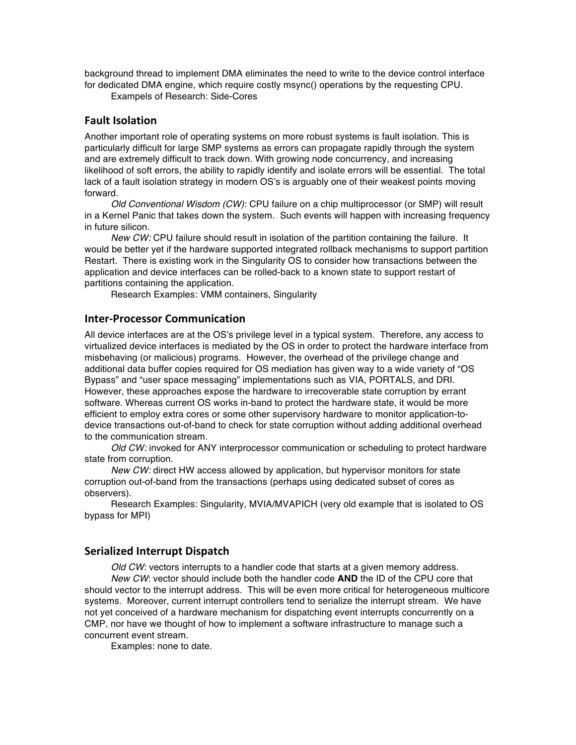background thread to implement DMA eliminates the need to write to the device control interface for dedicated DMA engine, which require costly msync() operations by the requesting CPU.

Exampels of Research: Side-Cores

#### **Fault
Isolation**

Another important role of operating systems on more robust systems is fault isolation. This is particularly difficult for large SMP systems as errors can propagate rapidly through the system and are extremely difficult to track down. With growing node concurrency, and increasing likelihood of soft errors, the ability to rapidly identify and isolate errors will be essential. The total lack of a fault isolation strategy in modern OS's is arguably one of their weakest points moving forward.

*Old Conventional Wisdom (CW)*: CPU failure on a chip multiprocessor (or SMP) will result in a Kernel Panic that takes down the system. Such events will happen with increasing frequency in future silicon.

*New CW:* CPU failure should result in isolation of the partition containing the failure. It would be better yet if the hardware supported integrated rollback mechanisms to support partition Restart. There is existing work in the Singularity OS to consider how transactions between the application and device interfaces can be rolled-back to a known state to support restart of partitions containing the application.

Research Examples: VMM containers, Singularity

#### **Inter‐Processor
Communication**

All device interfaces are at the OS's privilege level in a typical system. Therefore, any access to virtualized device interfaces is mediated by the OS in order to protect the hardware interface from misbehaving (or malicious) programs. However, the overhead of the privilege change and additional data buffer copies required for OS mediation has given way to a wide variety of "OS Bypass" and "user space messaging" implementations such as VIA, PORTALS, and DRI. However, these approaches expose the hardware to irrecoverable state corruption by errant software. Whereas current OS works in-band to protect the hardware state, it would be more efficient to employ extra cores or some other supervisory hardware to monitor application-todevice transactions out-of-band to check for state corruption without adding additional overhead to the communication stream.

*Old CW:* invoked for ANY interprocessor communication or scheduling to protect hardware state from corruption.

*New CW:* direct HW access allowed by application, but hypervisor monitors for state corruption out-of-band from the transactions (perhaps using dedicated subset of cores as observers).

Research Examples: Singularity, MVIA/MVAPICH (very old example that is isolated to OS bypass for MPI)

#### **Serialized
Interrupt
Dispatch**

*Old CW*: vectors interrupts to a handler code that starts at a given memory address. *New CW*: vector should include both the handler code **AND** the ID of the CPU core that should vector to the interrupt address. This will be even more critical for heterogeneous multicore systems. Moreover, current interrupt controllers tend to serialize the interrupt stream. We have not yet conceived of a hardware mechanism for dispatching event interrupts concurrently on a CMP, nor have we thought of how to implement a software infrastructure to manage such a concurrent event stream.

Examples: none to date.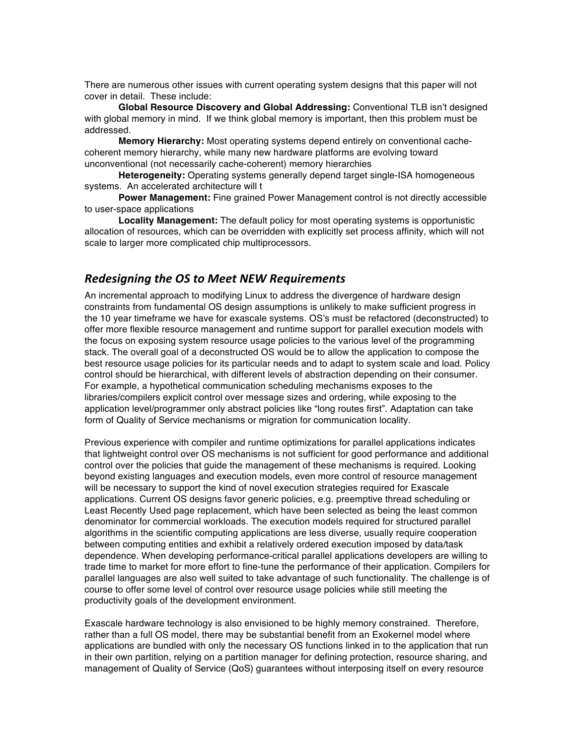There are numerous other issues with current operating system designs that this paper will not cover in detail. These include:

**Global Resource Discovery and Global Addressing:** Conventional TLB isn't designed with global memory in mind. If we think global memory is important, then this problem must be addressed.

**Memory Hierarchy:** Most operating systems depend entirely on conventional cachecoherent memory hierarchy, while many new hardware platforms are evolving toward unconventional (not necessarily cache-coherent) memory hierarchies

**Heterogeneity:** Operating systems generally depend target single-ISA homogeneous systems. An accelerated architecture will t

**Power Management:** Fine grained Power Management control is not directly accessible to user-space applications

**Locality Management:** The default policy for most operating systems is opportunistic allocation of resources, which can be overridden with explicitly set process affinity, which will not scale to larger more complicated chip multiprocessors.

#### *Redesigning the OS to Meet NEW Requirements*

An incremental approach to modifying Linux to address the divergence of hardware design constraints from fundamental OS design assumptions is unlikely to make sufficient progress in the 10 year timeframe we have for exascale systems. OS's must be refactored (deconstructed) to offer more flexible resource management and runtime support for parallel execution models with the focus on exposing system resource usage policies to the various level of the programming stack. The overall goal of a deconstructed OS would be to allow the application to compose the best resource usage policies for its particular needs and to adapt to system scale and load. Policy control should be hierarchical, with different levels of abstraction depending on their consumer. For example, a hypothetical communication scheduling mechanisms exposes to the libraries/compilers explicit control over message sizes and ordering, while exposing to the application level/programmer only abstract policies like "long routes first". Adaptation can take form of Quality of Service mechanisms or migration for communication locality.

Previous experience with compiler and runtime optimizations for parallel applications indicates that lightweight control over OS mechanisms is not sufficient for good performance and additional control over the policies that guide the management of these mechanisms is required. Looking beyond existing languages and execution models, even more control of resource management will be necessary to support the kind of novel execution strategies required for Exascale applications. Current OS designs favor generic policies, e.g. preemptive thread scheduling or Least Recently Used page replacement, which have been selected as being the least common denominator for commercial workloads. The execution models required for structured parallel algorithms in the scientific computing applications are less diverse, usually require cooperation between computing entities and exhibit a relatively ordered execution imposed by data/task dependence. When developing performance-critical parallel applications developers are willing to trade time to market for more effort to fine-tune the performance of their application. Compilers for parallel languages are also well suited to take advantage of such functionality. The challenge is of course to offer some level of control over resource usage policies while still meeting the productivity goals of the development environment.

Exascale hardware technology is also envisioned to be highly memory constrained. Therefore, rather than a full OS model, there may be substantial benefit from an Exokernel model where applications are bundled with only the necessary OS functions linked in to the application that run in their own partition, relying on a partition manager for defining protection, resource sharing, and management of Quality of Service (QoS) guarantees without interposing itself on every resource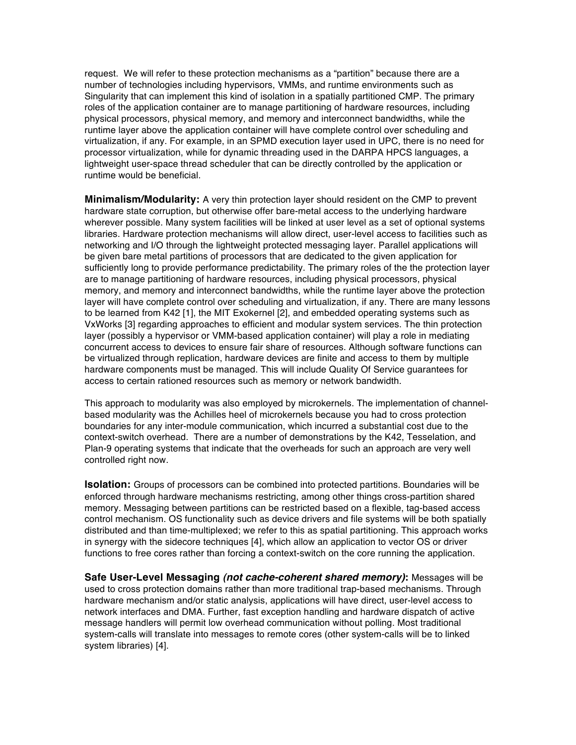request. We will refer to these protection mechanisms as a "partition" because there are a number of technologies including hypervisors, VMMs, and runtime environments such as Singularity that can implement this kind of isolation in a spatially partitioned CMP. The primary roles of the application container are to manage partitioning of hardware resources, including physical processors, physical memory, and memory and interconnect bandwidths, while the runtime layer above the application container will have complete control over scheduling and virtualization, if any. For example, in an SPMD execution layer used in UPC, there is no need for processor virtualization, while for dynamic threading used in the DARPA HPCS languages, a lightweight user-space thread scheduler that can be directly controlled by the application or runtime would be beneficial.

**Minimalism/Modularity:** A very thin protection layer should resident on the CMP to prevent hardware state corruption, but otherwise offer bare-metal access to the underlying hardware wherever possible. Many system facilities will be linked at user level as a set of optional systems libraries. Hardware protection mechanisms will allow direct, user-level access to facilities such as networking and I/O through the lightweight protected messaging layer. Parallel applications will be given bare metal partitions of processors that are dedicated to the given application for sufficiently long to provide performance predictability. The primary roles of the the protection layer are to manage partitioning of hardware resources, including physical processors, physical memory, and memory and interconnect bandwidths, while the runtime layer above the protection layer will have complete control over scheduling and virtualization, if any. There are many lessons to be learned from K42 [1], the MIT Exokernel [2], and embedded operating systems such as VxWorks [3] regarding approaches to efficient and modular system services. The thin protection layer (possibly a hypervisor or VMM-based application container) will play a role in mediating concurrent access to devices to ensure fair share of resources. Although software functions can be virtualized through replication, hardware devices are finite and access to them by multiple hardware components must be managed. This will include Quality Of Service guarantees for access to certain rationed resources such as memory or network bandwidth.

This approach to modularity was also employed by microkernels. The implementation of channelbased modularity was the Achilles heel of microkernels because you had to cross protection boundaries for any inter-module communication, which incurred a substantial cost due to the context-switch overhead. There are a number of demonstrations by the K42, Tesselation, and Plan-9 operating systems that indicate that the overheads for such an approach are very well controlled right now.

**Isolation:** Groups of processors can be combined into protected partitions. Boundaries will be enforced through hardware mechanisms restricting, among other things cross-partition shared memory. Messaging between partitions can be restricted based on a flexible, tag-based access control mechanism. OS functionality such as device drivers and file systems will be both spatially distributed and than time-multiplexed; we refer to this as spatial partitioning. This approach works in synergy with the sidecore techniques [4], which allow an application to vector OS or driver functions to free cores rather than forcing a context-switch on the core running the application.

**Safe User-Level Messaging** *(not cache-coherent shared memory)***:** Messages will be used to cross protection domains rather than more traditional trap-based mechanisms. Through hardware mechanism and/or static analysis, applications will have direct, user-level access to network interfaces and DMA. Further, fast exception handling and hardware dispatch of active message handlers will permit low overhead communication without polling. Most traditional system-calls will translate into messages to remote cores (other system-calls will be to linked system libraries) [4].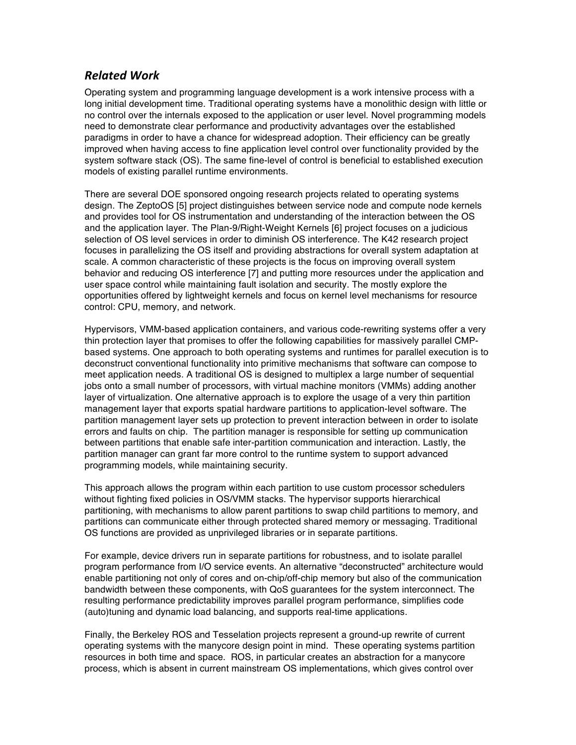## *Related Work*

Operating system and programming language development is a work intensive process with a long initial development time. Traditional operating systems have a monolithic design with little or no control over the internals exposed to the application or user level. Novel programming models need to demonstrate clear performance and productivity advantages over the established paradigms in order to have a chance for widespread adoption. Their efficiency can be greatly improved when having access to fine application level control over functionality provided by the system software stack (OS). The same fine-level of control is beneficial to established execution models of existing parallel runtime environments.

There are several DOE sponsored ongoing research projects related to operating systems design. The ZeptoOS [5] project distinguishes between service node and compute node kernels and provides tool for OS instrumentation and understanding of the interaction between the OS and the application layer. The Plan-9/Right-Weight Kernels [6] project focuses on a judicious selection of OS level services in order to diminish OS interference. The K42 research project focuses in parallelizing the OS itself and providing abstractions for overall system adaptation at scale. A common characteristic of these projects is the focus on improving overall system behavior and reducing OS interference [7] and putting more resources under the application and user space control while maintaining fault isolation and security. The mostly explore the opportunities offered by lightweight kernels and focus on kernel level mechanisms for resource control: CPU, memory, and network.

Hypervisors, VMM-based application containers, and various code-rewriting systems offer a very thin protection layer that promises to offer the following capabilities for massively parallel CMPbased systems. One approach to both operating systems and runtimes for parallel execution is to deconstruct conventional functionality into primitive mechanisms that software can compose to meet application needs. A traditional OS is designed to multiplex a large number of sequential jobs onto a small number of processors, with virtual machine monitors (VMMs) adding another layer of virtualization. One alternative approach is to explore the usage of a very thin partition management layer that exports spatial hardware partitions to application-level software. The partition management layer sets up protection to prevent interaction between in order to isolate errors and faults on chip. The partition manager is responsible for setting up communication between partitions that enable safe inter-partition communication and interaction. Lastly, the partition manager can grant far more control to the runtime system to support advanced programming models, while maintaining security.

This approach allows the program within each partition to use custom processor schedulers without fighting fixed policies in OS/VMM stacks. The hypervisor supports hierarchical partitioning, with mechanisms to allow parent partitions to swap child partitions to memory, and partitions can communicate either through protected shared memory or messaging. Traditional OS functions are provided as unprivileged libraries or in separate partitions.

For example, device drivers run in separate partitions for robustness, and to isolate parallel program performance from I/O service events. An alternative "deconstructed" architecture would enable partitioning not only of cores and on-chip/off-chip memory but also of the communication bandwidth between these components, with QoS guarantees for the system interconnect. The resulting performance predictability improves parallel program performance, simplifies code (auto)tuning and dynamic load balancing, and supports real-time applications.

Finally, the Berkeley ROS and Tesselation projects represent a ground-up rewrite of current operating systems with the manycore design point in mind. These operating systems partition resources in both time and space. ROS, in particular creates an abstraction for a manycore process, which is absent in current mainstream OS implementations, which gives control over